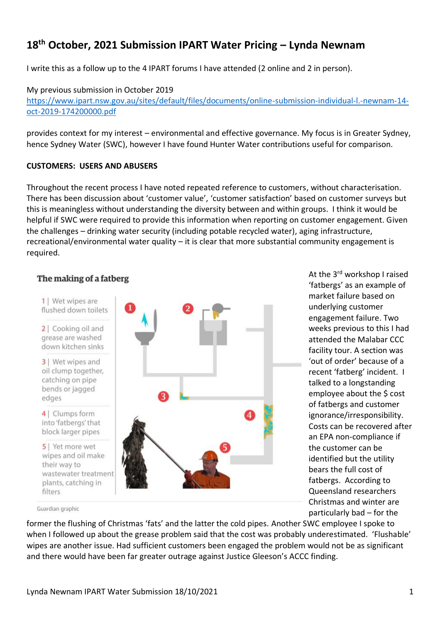# **18th October, 2021 Submission IPART Water Pricing – Lynda Newnam**

I write this as a follow up to the 4 IPART forums I have attended (2 online and 2 in person).

My previous submission in October 2019 https://www.ipart.nsw.gov.au/sites/default/files/documents/online-submission-individual-l.-newnam-14 oct-2019-174200000.pdf

provides context for my interest – environmental and effective governance. My focus is in Greater Sydney, hence Sydney Water (SWC), however I have found Hunter Water contributions useful for comparison.

## **CUSTOMERS: USERS AND ABUSERS**

Throughout the recent process I have noted repeated reference to customers, without characterisation. There has been discussion about 'customer value', 'customer satisfaction' based on customer surveys but this is meaningless without understanding the diversity between and within groups. I think it would be helpful if SWC were required to provide this information when reporting on customer engagement. Given the challenges – drinking water security (including potable recycled water), aging infrastructure, recreational/environmental water quality – it is clear that more substantial community engagement is required.

# The making of a fatberg



At the 3rd workshop I raised 'fatbergs' as an example of market failure based on underlying customer engagement failure. Two weeks previous to this I had attended the Malabar CCC facility tour. A section was 'out of order' because of a recent 'fatberg' incident. I talked to a longstanding employee about the \$ cost of fatbergs and customer ignorance/irresponsibility. Costs can be recovered after an EPA non-compliance if the customer can be identified but the utility bears the full cost of fatbergs. According to Queensland researchers Christmas and winter are particularly bad – for the

Guardian graphic

former the flushing of Christmas 'fats' and the latter the cold pipes. Another SWC employee I spoke to when I followed up about the grease problem said that the cost was probably underestimated. 'Flushable' wipes are another issue. Had sufficient customers been engaged the problem would not be as significant and there would have been far greater outrage against Justice Gleeson's ACCC finding.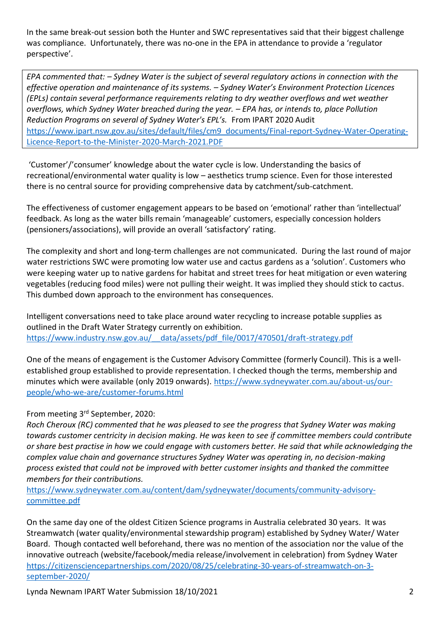In the same break-out session both the Hunter and SWC representatives said that their biggest challenge was compliance. Unfortunately, there was no-one in the EPA in attendance to provide a 'regulator perspective'.

*EPA commented that: – Sydney Water is the subject of several regulatory actions in connection with the effective operation and maintenance of its systems. – Sydney Water's Environment Protection Licences (EPLs) contain several performance requirements relating to dry weather overflows and wet weather overflows, which Sydney Water breached during the year. – EPA has, or intends to, place Pollution Reduction Programs on several of Sydney Water's EPL's.* From IPART 2020 Audit [https://www.ipart.nsw.gov.au/sites/default/files/cm9\\_documents/Final-report-Sydney-Water-Operating-](https://www.ipart.nsw.gov.au/sites/default/files/cm9_documents/Final-report-Sydney-Water-Operating-Licence-Report-to-the-Minister-2020-March-2021.PDF)[Licence-Report-to-the-Minister-2020-March-2021.PDF](https://www.ipart.nsw.gov.au/sites/default/files/cm9_documents/Final-report-Sydney-Water-Operating-Licence-Report-to-the-Minister-2020-March-2021.PDF)

'Customer'/'consumer' knowledge about the water cycle is low. Understanding the basics of recreational/environmental water quality is low – aesthetics trump science. Even for those interested there is no central source for providing comprehensive data by catchment/sub-catchment.

The effectiveness of customer engagement appears to be based on 'emotional' rather than 'intellectual' feedback. As long as the water bills remain 'manageable' customers, especially concession holders (pensioners/associations), will provide an overall 'satisfactory' rating.

The complexity and short and long-term challenges are not communicated. During the last round of major water restrictions SWC were promoting low water use and cactus gardens as a 'solution'. Customers who were keeping water up to native gardens for habitat and street trees for heat mitigation or even watering vegetables (reducing food miles) were not pulling their weight. It was implied they should stick to cactus. This dumbed down approach to the environment has consequences.

Intelligent conversations need to take place around water recycling to increase potable supplies as outlined in the Draft Water Strategy currently on exhibition. [https://www.industry.nsw.gov.au/\\_\\_data/assets/pdf\\_file/0017/470501/draft-strategy.pdf](https://www.industry.nsw.gov.au/__data/assets/pdf_file/0017/470501/draft-strategy.pdf)

One of the means of engagement is the Customer Advisory Committee (formerly Council). This is a wellestablished group established to provide representation. I checked though the terms, membership and minutes which were available (only 2019 onwards). [https://www.sydneywater.com.au/about-us/our](https://www.sydneywater.com.au/about-us/our-people/who-we-are/customer-forums.html)[people/who-we-are/customer-forums.html](https://www.sydneywater.com.au/about-us/our-people/who-we-are/customer-forums.html)

# From meeting 3<sup>rd</sup> September, 2020:

*Roch Cheroux (RC) commented that he was pleased to see the progress that Sydney Water was making towards customer centricity in decision making. He was keen to see if committee members could contribute or share best practise in how we could engage with customers better. He said that while acknowledging the complex value chain and governance structures Sydney Water was operating in, no decision-making process existed that could not be improved with better customer insights and thanked the committee members for their contributions.*

[https://www.sydneywater.com.au/content/dam/sydneywater/documents/community-advisory](https://www.sydneywater.com.au/content/dam/sydneywater/documents/community-advisory-committee.pdf)[committee.pdf](https://www.sydneywater.com.au/content/dam/sydneywater/documents/community-advisory-committee.pdf)

On the same day one of the oldest Citizen Science programs in Australia celebrated 30 years. It was Streamwatch (water quality/environmental stewardship program) established by Sydney Water/ Water Board. Though contacted well beforehand, there was no mention of the association nor the value of the innovative outreach (website/facebook/media release/involvement in celebration) from Sydney Water [https://citizensciencepartnerships.com/2020/08/25/celebrating-30-years-of-streamwatch-on-3](https://citizensciencepartnerships.com/2020/08/25/celebrating-30-years-of-streamwatch-on-3-september-2020/) [september-2020/](https://citizensciencepartnerships.com/2020/08/25/celebrating-30-years-of-streamwatch-on-3-september-2020/)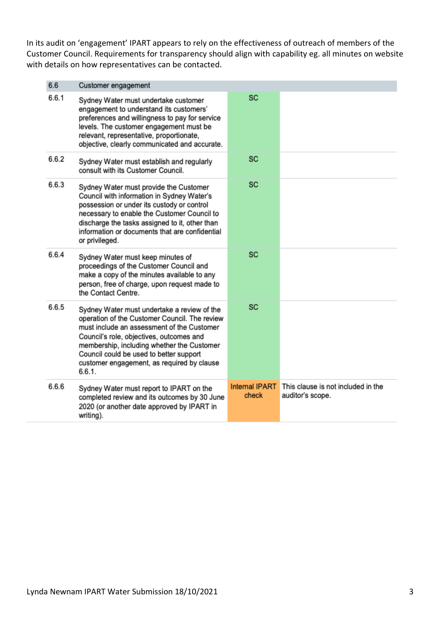In its audit on 'engagement' IPART appears to rely on the effectiveness of outreach of members of the Customer Council. Requirements for transparency should align with capability eg. all minutes on website with details on how representatives can be contacted.

| 6.6   | Customer engagement                                                                                                                                                                                                                                                                                                                     |                                |                                                        |
|-------|-----------------------------------------------------------------------------------------------------------------------------------------------------------------------------------------------------------------------------------------------------------------------------------------------------------------------------------------|--------------------------------|--------------------------------------------------------|
| 6.6.1 | Sydney Water must undertake customer<br>engagement to understand its customers'<br>preferences and willingness to pay for service<br>levels. The customer engagement must be<br>relevant, representative, proportionate,<br>objective, clearly communicated and accurate.                                                               | <b>SC</b>                      |                                                        |
| 6.6.2 | Sydney Water must establish and regularly<br>consult with its Customer Council.                                                                                                                                                                                                                                                         | <b>SC</b>                      |                                                        |
| 6.6.3 | Sydney Water must provide the Customer<br>Council with information in Sydney Water's<br>possession or under its custody or control<br>necessary to enable the Customer Council to<br>discharge the tasks assigned to it, other than<br>information or documents that are confidential<br>or privileged.                                 | <b>SC</b>                      |                                                        |
| 6.6.4 | Sydney Water must keep minutes of<br>proceedings of the Customer Council and<br>make a copy of the minutes available to any<br>person, free of charge, upon request made to<br>the Contact Centre.                                                                                                                                      | <b>SC</b>                      |                                                        |
| 6.6.5 | Sydney Water must undertake a review of the<br>operation of the Customer Council. The review<br>must include an assessment of the Customer<br>Council's role, objectives, outcomes and<br>membership, including whether the Customer<br>Council could be used to better support<br>customer engagement, as required by clause<br>6.6.1. | <b>SC</b>                      |                                                        |
| 6.6.6 | Sydney Water must report to IPART on the<br>completed review and its outcomes by 30 June<br>2020 (or another date approved by IPART in<br>writing).                                                                                                                                                                                     | <b>Internal IPART</b><br>check | This clause is not included in the<br>auditor's scope. |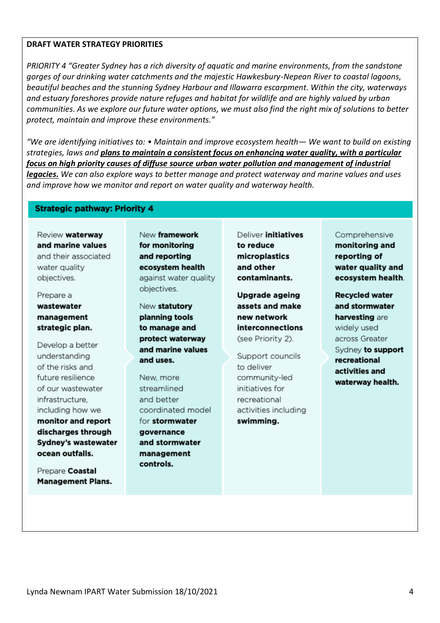#### **DRAFT WATER STRATEGY PRIORITIES**

*PRIORITY 4 "Greater Sydney has a rich diversity of aquatic and marine environments, from the sandstone gorges of our drinking water catchments and the majestic Hawkesbury-Nepean River to coastal lagoons, beautiful beaches and the stunning Sydney Harbour and Illawarra escarpment. Within the city, waterways and estuary foreshores provide nature refuges and habitat for wildlife and are highly valued by urban communities. As we explore our future water options, we must also find the right mix of solutions to better protect, maintain and improve these environments."*

*"We are identifying initiatives to: • Maintain and improve ecosystem health— We want to build on existing strategies, laws and plans to maintain a consistent focus on enhancing water quality, with a particular focus on high priority causes of diffuse source urban water pollution and management of industrial legacies. We can also explore ways to better manage and protect waterway and marine values and uses and improve how we monitor and report on water quality and waterway health.*

## **Strategic pathway: Priority 4**

Review waterway and marine values and their associated water quality objectives.

Prepare a wastewater management strategic plan.

Develop a better understanding of the risks and future resilience of our wastewater infrastructure, including how we monitor and report discharges through Sydney's wastewater ocean outfalls.

Prepare Coastal **Management Plans.**  New framework for monitoring and reporting ecosystem health against water quality objectives.

New statutory planning tools to manage and protect waterway and marine values and uses.

New more streamlined and better coordinated model for stormwater governance and stormwater management controls.

Deliver initiatives to reduce microplastics and other contaminants.

Uparade ageing assets and make new network interconnections (see Priority 2).

Support councils to deliver community-led initiatives for recreational activities including swimming.

#### Comprehensive

monitoring and reporting of water quality and ecosystem health.

**Recvcled water** and stormwater harvesting are widely used across Greater Sydney to support recreational activities and waterway health.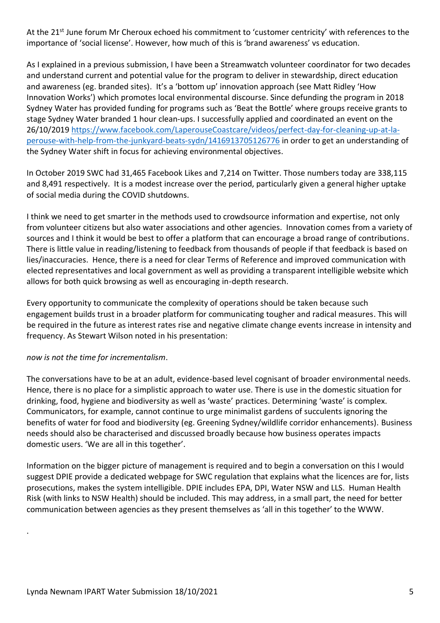At the 21<sup>st</sup> June forum Mr Cheroux echoed his commitment to 'customer centricity' with references to the importance of 'social license'. However, how much of this is 'brand awareness' vs education.

As I explained in a previous submission, I have been a Streamwatch volunteer coordinator for two decades and understand current and potential value for the program to deliver in stewardship, direct education and awareness (eg. branded sites). It's a 'bottom up' innovation approach (see Matt Ridley 'How Innovation Works') which promotes local environmental discourse. Since defunding the program in 2018 Sydney Water has provided funding for programs such as 'Beat the Bottle' where groups receive grants to stage Sydney Water branded 1 hour clean-ups. I successfully applied and coordinated an event on the 26/10/2019 [https://www.facebook.com/LaperouseCoastcare/videos/perfect-day-for-cleaning-up-at-la](https://www.facebook.com/LaperouseCoastcare/videos/perfect-day-for-cleaning-up-at-la-perouse-with-help-from-the-junkyard-beats-sydn/1416913705126776)[perouse-with-help-from-the-junkyard-beats-sydn/1416913705126776](https://www.facebook.com/LaperouseCoastcare/videos/perfect-day-for-cleaning-up-at-la-perouse-with-help-from-the-junkyard-beats-sydn/1416913705126776) in order to get an understanding of the Sydney Water shift in focus for achieving environmental objectives.

In October 2019 SWC had 31,465 Facebook Likes and 7,214 on Twitter. Those numbers today are 338,115 and 8,491 respectively. It is a modest increase over the period, particularly given a general higher uptake of social media during the COVID shutdowns.

I think we need to get smarter in the methods used to crowdsource information and expertise, not only from volunteer citizens but also water associations and other agencies. Innovation comes from a variety of sources and I think it would be best to offer a platform that can encourage a broad range of contributions. There is little value in reading/listening to feedback from thousands of people if that feedback is based on lies/inaccuracies. Hence, there is a need for clear Terms of Reference and improved communication with elected representatives and local government as well as providing a transparent intelligible website which allows for both quick browsing as well as encouraging in-depth research.

Every opportunity to communicate the complexity of operations should be taken because such engagement builds trust in a broader platform for communicating tougher and radical measures. This will be required in the future as interest rates rise and negative climate change events increase in intensity and frequency. As Stewart Wilson noted in his presentation:

# *now is not the time for incrementalism*.

.

The conversations have to be at an adult, evidence-based level cognisant of broader environmental needs. Hence, there is no place for a simplistic approach to water use. There is use in the domestic situation for drinking, food, hygiene and biodiversity as well as 'waste' practices. Determining 'waste' is complex. Communicators, for example, cannot continue to urge minimalist gardens of succulents ignoring the benefits of water for food and biodiversity (eg. Greening Sydney/wildlife corridor enhancements). Business needs should also be characterised and discussed broadly because how business operates impacts domestic users. 'We are all in this together'.

Information on the bigger picture of management is required and to begin a conversation on this I would suggest DPIE provide a dedicated webpage for SWC regulation that explains what the licences are for, lists prosecutions, makes the system intelligible. DPIE includes EPA, DPI, Water NSW and LLS. Human Health Risk (with links to NSW Health) should be included. This may address, in a small part, the need for better communication between agencies as they present themselves as 'all in this together' to the WWW.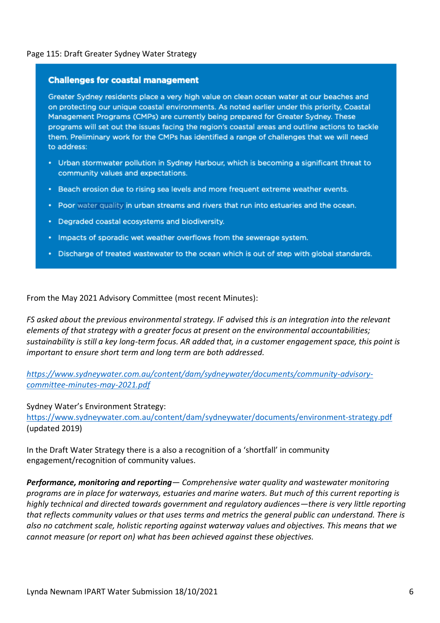## Page 115: Draft Greater Sydney Water Strategy

#### **Challenges for coastal management**

Greater Sydney residents place a very high value on clean ocean water at our beaches and on protecting our unique coastal environments. As noted earlier under this priority. Coastal Management Programs (CMPs) are currently being prepared for Greater Sydney. These programs will set out the issues facing the region's coastal areas and outline actions to tackle them. Preliminary work for the CMPs has identified a range of challenges that we will need to address:

- Urban stormwater pollution in Sydney Harbour, which is becoming a significant threat to community values and expectations.
- . Beach erosion due to rising sea levels and more frequent extreme weather events.
- Poor water quality in urban streams and rivers that run into estuaries and the ocean.
- Degraded coastal ecosystems and biodiversity.
- Impacts of sporadic wet weather overflows from the sewerage system.
- Discharge of treated wastewater to the ocean which is out of step with global standards.

From the May 2021 Advisory Committee (most recent Minutes):

*FS asked about the previous environmental strategy. IF advised this is an integration into the relevant elements of that strategy with a greater focus at present on the environmental accountabilities; sustainability is still a key long-term focus. AR added that, in a customer engagement space, this point is important to ensure short term and long term are both addressed.*

*[https://www.sydneywater.com.au/content/dam/sydneywater/documents/community-advisory](https://www.sydneywater.com.au/content/dam/sydneywater/documents/community-advisory-committee-minutes-may-2021.pdf)[committee-minutes-may-2021.pdf](https://www.sydneywater.com.au/content/dam/sydneywater/documents/community-advisory-committee-minutes-may-2021.pdf)*

Sydney Water's Environment Strategy: <https://www.sydneywater.com.au/content/dam/sydneywater/documents/environment-strategy.pdf> (updated 2019)

In the Draft Water Strategy there is a also a recognition of a 'shortfall' in community engagement/recognition of community values.

*Performance, monitoring and reporting— Comprehensive water quality and wastewater monitoring programs are in place for waterways, estuaries and marine waters. But much of this current reporting is highly technical and directed towards government and regulatory audiences—there is very little reporting that reflects community values or that uses terms and metrics the general public can understand. There is also no catchment scale, holistic reporting against waterway values and objectives. This means that we cannot measure (or report on) what has been achieved against these objectives.*